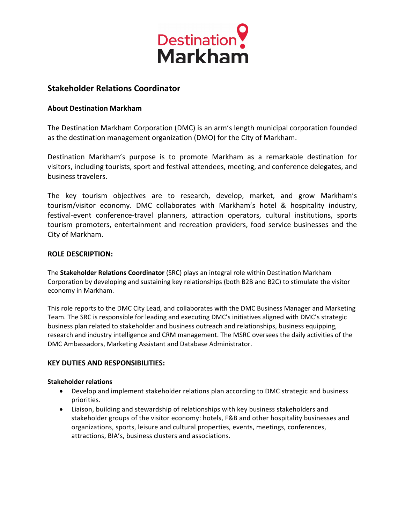

# **Stakeholder Relations Coordinator**

# **About Destination Markham**

The Destination Markham Corporation (DMC) is an arm's length municipal corporation founded as the destination management organization (DMO) for the City of Markham.

Destination Markham's purpose is to promote Markham as a remarkable destination for visitors, including tourists, sport and festival attendees, meeting, and conference delegates, and business travelers.

The key tourism objectives are to research, develop, market, and grow Markham's tourism/visitor economy. DMC collaborates with Markham's hotel & hospitality industry, festival-event conference-travel planners, attraction operators, cultural institutions, sports tourism promoters, entertainment and recreation providers, food service businesses and the City of Markham.

### **ROLE DESCRIPTION:**

The **Stakeholder Relations Coordinator** (SRC) plays an integral role within Destination Markham Corporation by developing and sustaining key relationships (both B2B and B2C) to stimulate the visitor economy in Markham.

This role reports to the DMC City Lead, and collaborates with the DMC Business Manager and Marketing Team. The SRC is responsible for leading and executing DMC's initiatives aligned with DMC's strategic business plan related to stakeholder and business outreach and relationships, business equipping, research and industry intelligence and CRM management. The MSRC oversees the daily activities of the DMC Ambassadors, Marketing Assistant and Database Administrator.

### **KEY DUTIES AND RESPONSIBILITIES:**

### **Stakeholder relations**

- Develop and implement stakeholder relations plan according to DMC strategic and business priorities.
- Liaison, building and stewardship of relationships with key business stakeholders and stakeholder groups of the visitor economy: hotels, F&B and other hospitality businesses and organizations, sports, leisure and cultural properties, events, meetings, conferences, attractions, BIA's, business clusters and associations.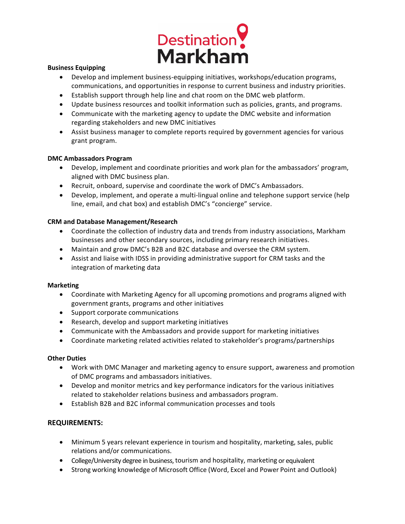

### **Business Equipping**

- Develop and implement business-equipping initiatives, workshops/education programs, communications, and opportunities in response to current business and industry priorities.
- Establish support through help line and chat room on the DMC web platform.
- Update business resources and toolkit information such as policies, grants, and programs.
- Communicate with the marketing agency to update the DMC website and information regarding stakeholders and new DMC initiatives
- Assist business manager to complete reports required by government agencies for various grant program.

### **DMC Ambassadors Program**

- Develop, implement and coordinate priorities and work plan for the ambassadors' program, aligned with DMC business plan.
- Recruit, onboard, supervise and coordinate the work of DMC's Ambassadors.
- Develop, implement, and operate a multi-lingual online and telephone support service (help line, email, and chat box) and establish DMC's "concierge" service.

# **CRM and Database Management/Research**

- Coordinate the collection of industry data and trends from industry associations, Markham businesses and other secondary sources, including primary research initiatives.
- Maintain and grow DMC's B2B and B2C database and oversee the CRM system.
- Assist and liaise with IDSS in providing administrative support for CRM tasks and the integration of marketing data

### **Marketing**

- Coordinate with Marketing Agency for all upcoming promotions and programs aligned with government grants, programs and other initiatives
- Support corporate communications
- Research, develop and support marketing initiatives
- Communicate with the Ambassadors and provide support for marketing initiatives
- Coordinate marketing related activities related to stakeholder's programs/partnerships

# **Other Duties**

- Work with DMC Manager and marketing agency to ensure support, awareness and promotion of DMC programs and ambassadors initiatives.
- Develop and monitor metrics and key performance indicators for the various initiatives related to stakeholder relations business and ambassadors program.
- Establish B2B and B2C informal communication processes and tools

# **REQUIREMENTS:**

- Minimum 5 years relevant experience in tourism and hospitality, marketing, sales, public relations and/or communications.
- College/University degree in business, tourism and hospitality, marketing or equivalent
- Strong working knowledge of Microsoft Office (Word, Excel and Power Point and Outlook)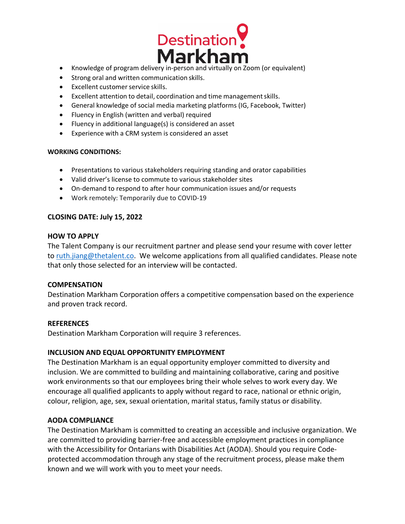

- Knowledge of program delivery in-person and virtually on Zoom (or equivalent)
- Strong oral and written communication skills.
- Excellent customer service skills.
- Excellent attention to detail, coordination and time managementskills.
- General knowledge of social media marketing platforms (IG, Facebook, Twitter)
- Fluency in English (written and verbal) required
- Fluency in additional language(s) is considered an asset
- Experience with a CRM system is considered an asset

### **WORKING CONDITIONS:**

- Presentations to various stakeholders requiring standing and orator capabilities
- Valid driver's license to commute to various stakeholder sites
- On-demand to respond to after hour communication issues and/or requests
- Work remotely: Temporarily due to COVID-19

### **CLOSING DATE: July 15, 2022**

### **HOW TO APPLY**

The Talent Company is our recruitment partner and please send your resume with cover letter to [ruth.jiang@thetalent.co.](mailto:ruth.jiang@thetalent.co) We welcome applications from all qualified candidates. Please note that only those selected for an interview will be contacted.

### **COMPENSATION**

Destination Markham Corporation offers a competitive compensation based on the experience and proven track record.

### **REFERENCES**

Destination Markham Corporation will require 3 references.

# **INCLUSION AND EQUAL OPPORTUNITY EMPLOYMENT**

The Destination Markham is an equal opportunity employer committed to diversity and inclusion. We are committed to building and maintaining collaborative, caring and positive work environments so that our employees bring their whole selves to work every day. We encourage all qualified applicants to apply without regard to race, national or ethnic origin, colour, religion, age, sex, sexual orientation, marital status, family status or disability.

### **AODA COMPLIANCE**

The Destination Markham is committed to creating an accessible and inclusive organization. We are committed to providing barrier-free and accessible employment practices in compliance with the Accessibility for Ontarians with Disabilities Act (AODA). Should you require Codeprotected accommodation through any stage of the recruitment process, please make them known and we will work with you to meet your needs.